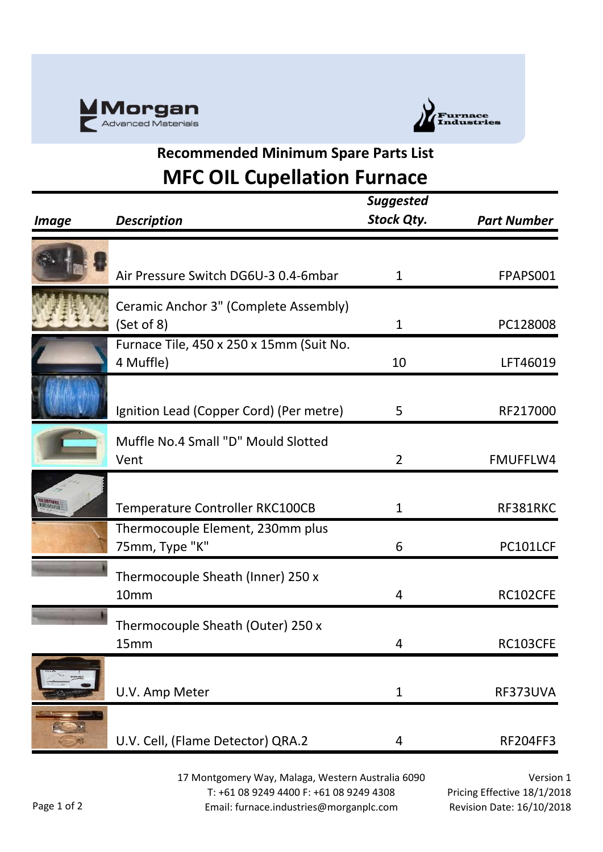



## **Recommended Minimum Spare Parts List MFC OIL Cupellation Furnace**

| <b>Image</b>     | <b>Description</b>                                                  | <b>Suggested</b><br><b>Stock Qty.</b> | <b>Part Number</b> |
|------------------|---------------------------------------------------------------------|---------------------------------------|--------------------|
|                  | Air Pressure Switch DG6U-3 0.4-6mbar                                | $\mathbf{1}$                          | FPAPS001           |
|                  | Ceramic Anchor 3" (Complete Assembly)<br>(Set of 8)                 | $\mathbf 1$                           | PC128008           |
|                  | Furnace Tile, 450 x 250 x 15mm (Suit No.<br>4 Muffle)               | 10                                    | LFT46019           |
|                  | Ignition Lead (Copper Cord) (Per metre)                             | 5                                     | RF217000           |
|                  | Muffle No.4 Small "D" Mould Slotted<br>Vent                         | $\overline{2}$                        | <b>FMUFFLW4</b>    |
| angan<br>Bistana | Temperature Controller RKC100CB<br>Thermocouple Element, 230mm plus | 1                                     | RF381RKC           |
|                  | 75mm, Type "K"                                                      | 6                                     | PC101LCF           |
|                  | Thermocouple Sheath (Inner) 250 x<br>10mm                           | 4                                     | RC102CFE           |
|                  | Thermocouple Sheath (Outer) 250 x<br>15mm                           | 4                                     | RC103CFE           |
|                  | U.V. Amp Meter                                                      | $\mathbf{1}$                          | RF373UVA           |
|                  | U.V. Cell, (Flame Detector) QRA.2                                   | 4                                     | <b>RF204FF3</b>    |

17 Montgomery Way, Malaga, Western Australia 6090 T: +61 08 9249 4400 F: +61 08 9249 4308 Email: furnace.industries@morganplc.com

Version 1 Pricing Effective 18/1/2018 Revision Date: 16/10/2018